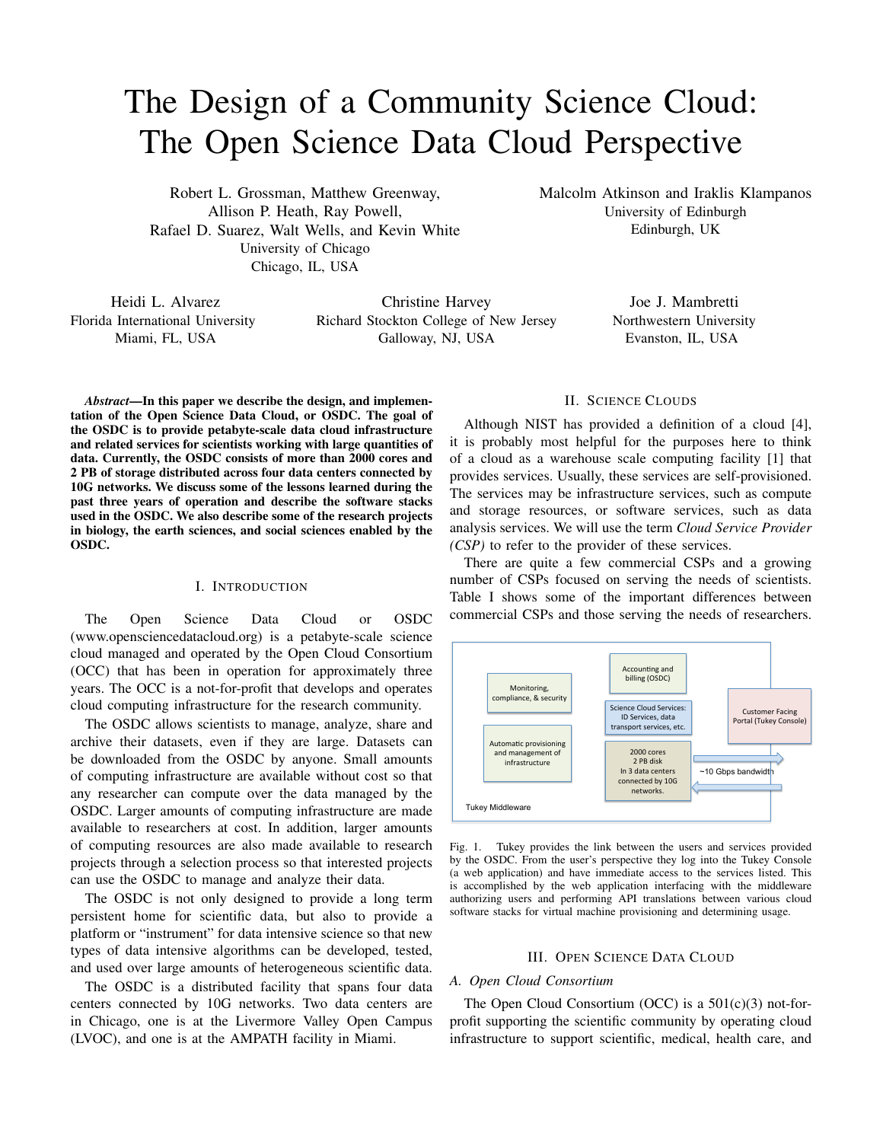# The Design of a Community Science Cloud: The Open Science Data Cloud Perspective

Robert L. Grossman, Matthew Greenway, Allison P. Heath, Ray Powell, Rafael D. Suarez, Walt Wells, and Kevin White University of Chicago Chicago, IL, USA

Malcolm Atkinson and Iraklis Klampanos University of Edinburgh Edinburgh, UK

Heidi L. Alvarez Florida International University Miami, FL, USA

Christine Harvey Richard Stockton College of New Jersey Galloway, NJ, USA

Joe J. Mambretti Northwestern University Evanston, IL, USA

*Abstract*—In this paper we describe the design, and implementation of the Open Science Data Cloud, or OSDC. The goal of the OSDC is to provide petabyte-scale data cloud infrastructure and related services for scientists working with large quantities of data. Currently, the OSDC consists of more than 2000 cores and 2 PB of storage distributed across four data centers connected by 10G networks. We discuss some of the lessons learned during the past three years of operation and describe the software stacks used in the OSDC. We also describe some of the research projects in biology, the earth sciences, and social sciences enabled by the OSDC.

# I. INTRODUCTION

The Open Science Data Cloud or OSDC (www.opensciencedatacloud.org) is a petabyte-scale science cloud managed and operated by the Open Cloud Consortium (OCC) that has been in operation for approximately three years. The OCC is a not-for-profit that develops and operates cloud computing infrastructure for the research community.

The OSDC allows scientists to manage, analyze, share and archive their datasets, even if they are large. Datasets can be downloaded from the OSDC by anyone. Small amounts of computing infrastructure are available without cost so that any researcher can compute over the data managed by the OSDC. Larger amounts of computing infrastructure are made available to researchers at cost. In addition, larger amounts of computing resources are also made available to research projects through a selection process so that interested projects can use the OSDC to manage and analyze their data.

The OSDC is not only designed to provide a long term persistent home for scientific data, but also to provide a platform or "instrument" for data intensive science so that new types of data intensive algorithms can be developed, tested, and used over large amounts of heterogeneous scientific data.

The OSDC is a distributed facility that spans four data centers connected by 10G networks. Two data centers are in Chicago, one is at the Livermore Valley Open Campus (LVOC), and one is at the AMPATH facility in Miami.

# II. SCIENCE CLOUDS

Although NIST has provided a definition of a cloud [4], it is probably most helpful for the purposes here to think of a cloud as a warehouse scale computing facility [1] that provides services. Usually, these services are self-provisioned. The services may be infrastructure services, such as compute and storage resources, or software services, such as data analysis services. We will use the term *Cloud Service Provider (CSP)* to refer to the provider of these services.

There are quite a few commercial CSPs and a growing number of CSPs focused on serving the needs of scientists. Table I shows some of the important differences between commercial CSPs and those serving the needs of researchers.



Fig. 1. Tukey provides the link between the users and services provided by the OSDC. From the user's perspective they log into the Tukey Console (a web application) and have immediate access to the services listed. This is accomplished by the web application interfacing with the middleware authorizing users and performing API translations between various cloud software stacks for virtual machine provisioning and determining usage.

# III. OPEN SCIENCE DATA CLOUD

## *A. Open Cloud Consortium*

The Open Cloud Consortium (OCC) is a  $501(c)(3)$  not-forprofit supporting the scientific community by operating cloud infrastructure to support scientific, medical, health care, and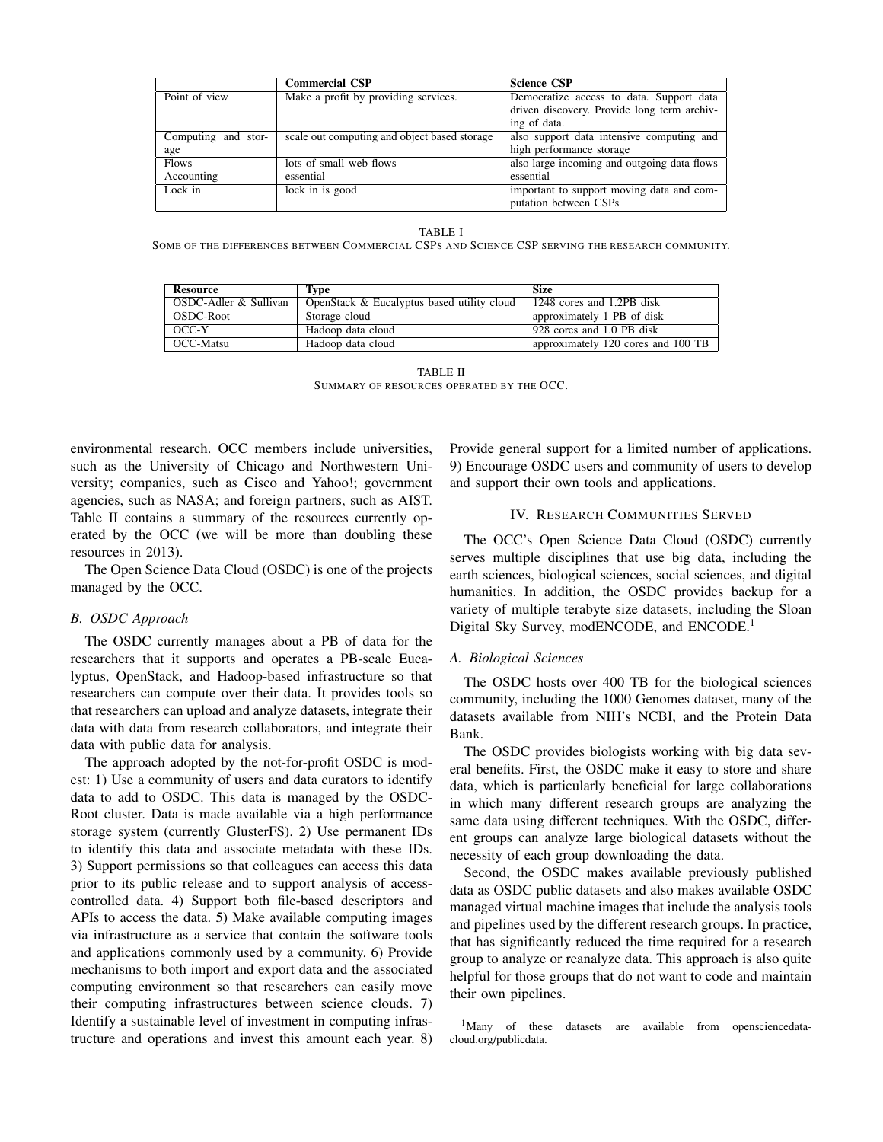|                     | <b>Commercial CSP</b>                        | <b>Science CSP</b>                          |
|---------------------|----------------------------------------------|---------------------------------------------|
| Point of view       | Make a profit by providing services.         | Democratize access to data. Support data    |
|                     |                                              | driven discovery. Provide long term archiv- |
|                     |                                              | ing of data.                                |
| Computing and stor- | scale out computing and object based storage | also support data intensive computing and   |
| age                 |                                              | high performance storage                    |
| <b>Flows</b>        | lots of small web flows                      | also large incoming and outgoing data flows |
| Accounting          | essential                                    | essential                                   |
| Lock in             | lock in is good                              | important to support moving data and com-   |
|                     |                                              | putation between CSPs                       |

TABLE I SOME OF THE DIFFERENCES BETWEEN COMMERCIAL CSPS AND SCIENCE CSP SERVING THE RESEARCH COMMUNITY.

| <b>Resource</b>         | Type                                       | Size                                         |
|-------------------------|--------------------------------------------|----------------------------------------------|
| $OSDC-Adler$ & Sullivan | OpenStack & Eucalyptus based utility cloud | 1248 cores and 1.2PB disk                    |
| OSDC-Root               | Storage cloud                              | approximately 1 PB of $disk$                 |
| OCC-Y                   | Hadoop data cloud                          | 928 cores and 1.0 PB disk                    |
| <b>OCC-Matsu</b>        | Hadoop data cloud                          | approximately 120 cores and $100 \text{ TB}$ |

TABLE II SUMMARY OF RESOURCES OPERATED BY THE OCC.

environmental research. OCC members include universities, such as the University of Chicago and Northwestern University; companies, such as Cisco and Yahoo!; government agencies, such as NASA; and foreign partners, such as AIST. Table II contains a summary of the resources currently operated by the OCC (we will be more than doubling these resources in 2013).

The Open Science Data Cloud (OSDC) is one of the projects managed by the OCC.

## *B. OSDC Approach*

The OSDC currently manages about a PB of data for the researchers that it supports and operates a PB-scale Eucalyptus, OpenStack, and Hadoop-based infrastructure so that researchers can compute over their data. It provides tools so that researchers can upload and analyze datasets, integrate their data with data from research collaborators, and integrate their data with public data for analysis.

The approach adopted by the not-for-profit OSDC is modest: 1) Use a community of users and data curators to identify data to add to OSDC. This data is managed by the OSDC-Root cluster. Data is made available via a high performance storage system (currently GlusterFS). 2) Use permanent IDs to identify this data and associate metadata with these IDs. 3) Support permissions so that colleagues can access this data prior to its public release and to support analysis of accesscontrolled data. 4) Support both file-based descriptors and APIs to access the data. 5) Make available computing images via infrastructure as a service that contain the software tools and applications commonly used by a community. 6) Provide mechanisms to both import and export data and the associated computing environment so that researchers can easily move their computing infrastructures between science clouds. 7) Identify a sustainable level of investment in computing infrastructure and operations and invest this amount each year. 8) Provide general support for a limited number of applications. 9) Encourage OSDC users and community of users to develop and support their own tools and applications.

# IV. RESEARCH COMMUNITIES SERVED

The OCC's Open Science Data Cloud (OSDC) currently serves multiple disciplines that use big data, including the earth sciences, biological sciences, social sciences, and digital humanities. In addition, the OSDC provides backup for a variety of multiple terabyte size datasets, including the Sloan Digital Sky Survey, modENCODE, and ENCODE.<sup>1</sup>

# *A. Biological Sciences*

The OSDC hosts over 400 TB for the biological sciences community, including the 1000 Genomes dataset, many of the datasets available from NIH's NCBI, and the Protein Data Bank.

The OSDC provides biologists working with big data several benefits. First, the OSDC make it easy to store and share data, which is particularly beneficial for large collaborations in which many different research groups are analyzing the same data using different techniques. With the OSDC, different groups can analyze large biological datasets without the necessity of each group downloading the data.

Second, the OSDC makes available previously published data as OSDC public datasets and also makes available OSDC managed virtual machine images that include the analysis tools and pipelines used by the different research groups. In practice, that has significantly reduced the time required for a research group to analyze or reanalyze data. This approach is also quite helpful for those groups that do not want to code and maintain their own pipelines.

<sup>1</sup>Many of these datasets are available from opensciencedatacloud.org/publicdata.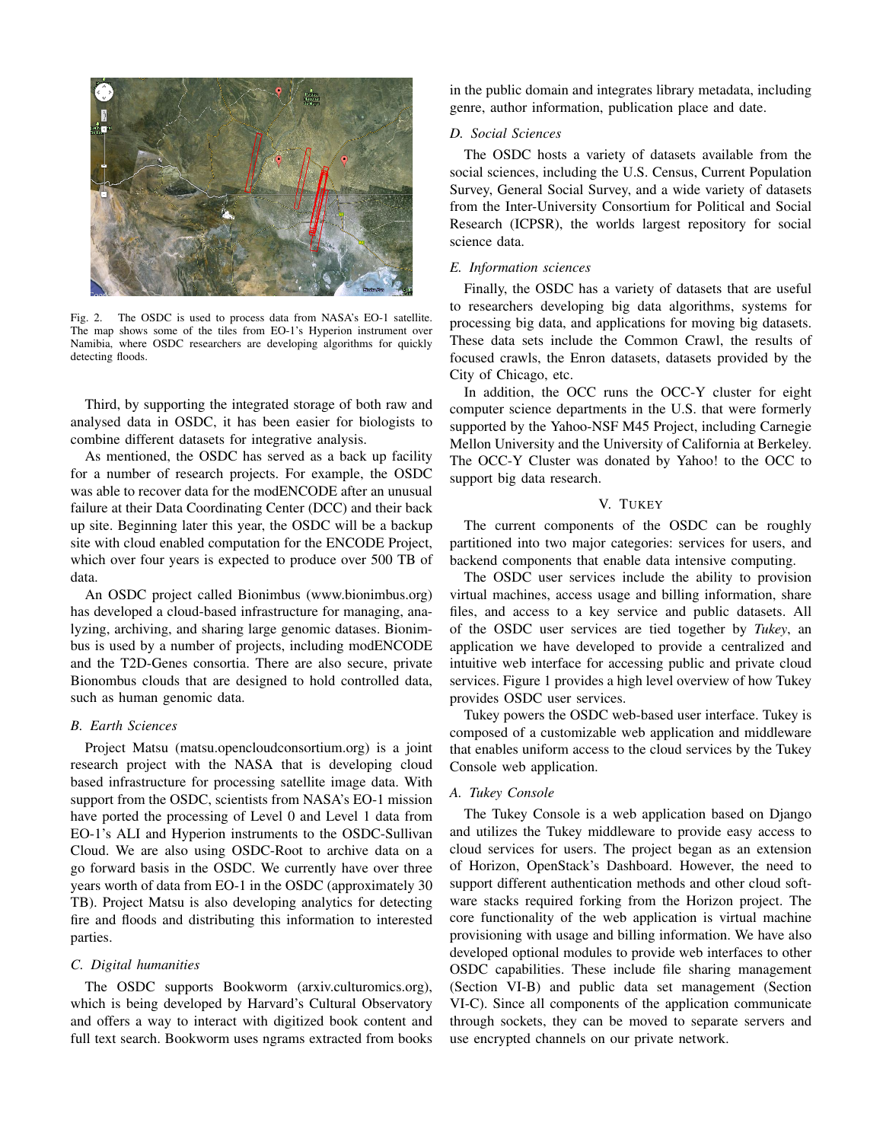

Fig. 2. The OSDC is used to process data from NASA's EO-1 satellite. The map shows some of the tiles from EO-1's Hyperion instrument over Namibia, where OSDC researchers are developing algorithms for quickly detecting floods.

Third, by supporting the integrated storage of both raw and analysed data in OSDC, it has been easier for biologists to combine different datasets for integrative analysis.

As mentioned, the OSDC has served as a back up facility for a number of research projects. For example, the OSDC was able to recover data for the modENCODE after an unusual failure at their Data Coordinating Center (DCC) and their back up site. Beginning later this year, the OSDC will be a backup site with cloud enabled computation for the ENCODE Project, which over four years is expected to produce over 500 TB of data.

An OSDC project called Bionimbus (www.bionimbus.org) has developed a cloud-based infrastructure for managing, analyzing, archiving, and sharing large genomic datases. Bionimbus is used by a number of projects, including modENCODE and the T2D-Genes consortia. There are also secure, private Bionombus clouds that are designed to hold controlled data, such as human genomic data.

#### *B. Earth Sciences*

Project Matsu (matsu.opencloudconsortium.org) is a joint research project with the NASA that is developing cloud based infrastructure for processing satellite image data. With support from the OSDC, scientists from NASA's EO-1 mission have ported the processing of Level 0 and Level 1 data from EO-1's ALI and Hyperion instruments to the OSDC-Sullivan Cloud. We are also using OSDC-Root to archive data on a go forward basis in the OSDC. We currently have over three years worth of data from EO-1 in the OSDC (approximately 30 TB). Project Matsu is also developing analytics for detecting fire and floods and distributing this information to interested parties.

#### *C. Digital humanities*

The OSDC supports Bookworm (arxiv.culturomics.org), which is being developed by Harvard's Cultural Observatory and offers a way to interact with digitized book content and full text search. Bookworm uses ngrams extracted from books in the public domain and integrates library metadata, including genre, author information, publication place and date.

# *D. Social Sciences*

The OSDC hosts a variety of datasets available from the social sciences, including the U.S. Census, Current Population Survey, General Social Survey, and a wide variety of datasets from the Inter-University Consortium for Political and Social Research (ICPSR), the worlds largest repository for social science data.

# *E. Information sciences*

Finally, the OSDC has a variety of datasets that are useful to researchers developing big data algorithms, systems for processing big data, and applications for moving big datasets. These data sets include the Common Crawl, the results of focused crawls, the Enron datasets, datasets provided by the City of Chicago, etc.

In addition, the OCC runs the OCC-Y cluster for eight computer science departments in the U.S. that were formerly supported by the Yahoo-NSF M45 Project, including Carnegie Mellon University and the University of California at Berkeley. The OCC-Y Cluster was donated by Yahoo! to the OCC to support big data research.

## V. TUKEY

The current components of the OSDC can be roughly partitioned into two major categories: services for users, and backend components that enable data intensive computing.

The OSDC user services include the ability to provision virtual machines, access usage and billing information, share files, and access to a key service and public datasets. All of the OSDC user services are tied together by *Tukey*, an application we have developed to provide a centralized and intuitive web interface for accessing public and private cloud services. Figure 1 provides a high level overview of how Tukey provides OSDC user services.

Tukey powers the OSDC web-based user interface. Tukey is composed of a customizable web application and middleware that enables uniform access to the cloud services by the Tukey Console web application.

# *A. Tukey Console*

The Tukey Console is a web application based on Django and utilizes the Tukey middleware to provide easy access to cloud services for users. The project began as an extension of Horizon, OpenStack's Dashboard. However, the need to support different authentication methods and other cloud software stacks required forking from the Horizon project. The core functionality of the web application is virtual machine provisioning with usage and billing information. We have also developed optional modules to provide web interfaces to other OSDC capabilities. These include file sharing management (Section VI-B) and public data set management (Section VI-C). Since all components of the application communicate through sockets, they can be moved to separate servers and use encrypted channels on our private network.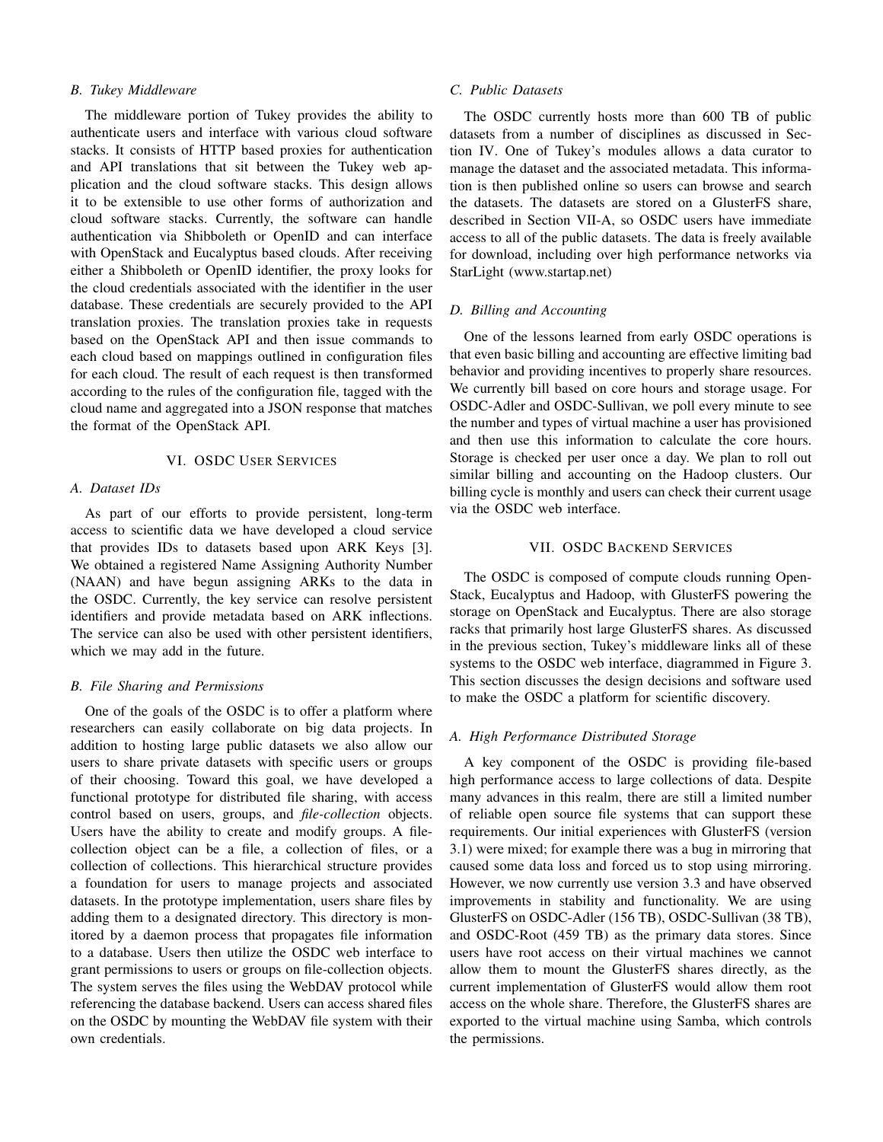#### *B. Tukey Middleware*

The middleware portion of Tukey provides the ability to authenticate users and interface with various cloud software stacks. It consists of HTTP based proxies for authentication and API translations that sit between the Tukey web application and the cloud software stacks. This design allows it to be extensible to use other forms of authorization and cloud software stacks. Currently, the software can handle authentication via Shibboleth or OpenID and can interface with OpenStack and Eucalyptus based clouds. After receiving either a Shibboleth or OpenID identifier, the proxy looks for the cloud credentials associated with the identifier in the user database. These credentials are securely provided to the API translation proxies. The translation proxies take in requests based on the OpenStack API and then issue commands to each cloud based on mappings outlined in configuration files for each cloud. The result of each request is then transformed according to the rules of the configuration file, tagged with the cloud name and aggregated into a JSON response that matches the format of the OpenStack API.

# VI. OSDC USER SERVICES

# *A. Dataset IDs*

As part of our efforts to provide persistent, long-term access to scientific data we have developed a cloud service that provides IDs to datasets based upon ARK Keys [3]. We obtained a registered Name Assigning Authority Number (NAAN) and have begun assigning ARKs to the data in the OSDC. Currently, the key service can resolve persistent identifiers and provide metadata based on ARK inflections. The service can also be used with other persistent identifiers, which we may add in the future.

## *B. File Sharing and Permissions*

One of the goals of the OSDC is to offer a platform where researchers can easily collaborate on big data projects. In addition to hosting large public datasets we also allow our users to share private datasets with specific users or groups of their choosing. Toward this goal, we have developed a functional prototype for distributed file sharing, with access control based on users, groups, and *file-collection* objects. Users have the ability to create and modify groups. A filecollection object can be a file, a collection of files, or a collection of collections. This hierarchical structure provides a foundation for users to manage projects and associated datasets. In the prototype implementation, users share files by adding them to a designated directory. This directory is monitored by a daemon process that propagates file information to a database. Users then utilize the OSDC web interface to grant permissions to users or groups on file-collection objects. The system serves the files using the WebDAV protocol while referencing the database backend. Users can access shared files on the OSDC by mounting the WebDAV file system with their own credentials.

#### *C. Public Datasets*

The OSDC currently hosts more than 600 TB of public datasets from a number of disciplines as discussed in Section IV. One of Tukey's modules allows a data curator to manage the dataset and the associated metadata. This information is then published online so users can browse and search the datasets. The datasets are stored on a GlusterFS share, described in Section VII-A, so OSDC users have immediate access to all of the public datasets. The data is freely available for download, including over high performance networks via StarLight (www.startap.net)

#### *D. Billing and Accounting*

One of the lessons learned from early OSDC operations is that even basic billing and accounting are effective limiting bad behavior and providing incentives to properly share resources. We currently bill based on core hours and storage usage. For OSDC-Adler and OSDC-Sullivan, we poll every minute to see the number and types of virtual machine a user has provisioned and then use this information to calculate the core hours. Storage is checked per user once a day. We plan to roll out similar billing and accounting on the Hadoop clusters. Our billing cycle is monthly and users can check their current usage via the OSDC web interface.

# VII. OSDC BACKEND SERVICES

The OSDC is composed of compute clouds running Open-Stack, Eucalyptus and Hadoop, with GlusterFS powering the storage on OpenStack and Eucalyptus. There are also storage racks that primarily host large GlusterFS shares. As discussed in the previous section, Tukey's middleware links all of these systems to the OSDC web interface, diagrammed in Figure 3. This section discusses the design decisions and software used to make the OSDC a platform for scientific discovery.

## *A. High Performance Distributed Storage*

A key component of the OSDC is providing file-based high performance access to large collections of data. Despite many advances in this realm, there are still a limited number of reliable open source file systems that can support these requirements. Our initial experiences with GlusterFS (version 3.1) were mixed; for example there was a bug in mirroring that caused some data loss and forced us to stop using mirroring. However, we now currently use version 3.3 and have observed improvements in stability and functionality. We are using GlusterFS on OSDC-Adler (156 TB), OSDC-Sullivan (38 TB), and OSDC-Root (459 TB) as the primary data stores. Since users have root access on their virtual machines we cannot allow them to mount the GlusterFS shares directly, as the current implementation of GlusterFS would allow them root access on the whole share. Therefore, the GlusterFS shares are exported to the virtual machine using Samba, which controls the permissions.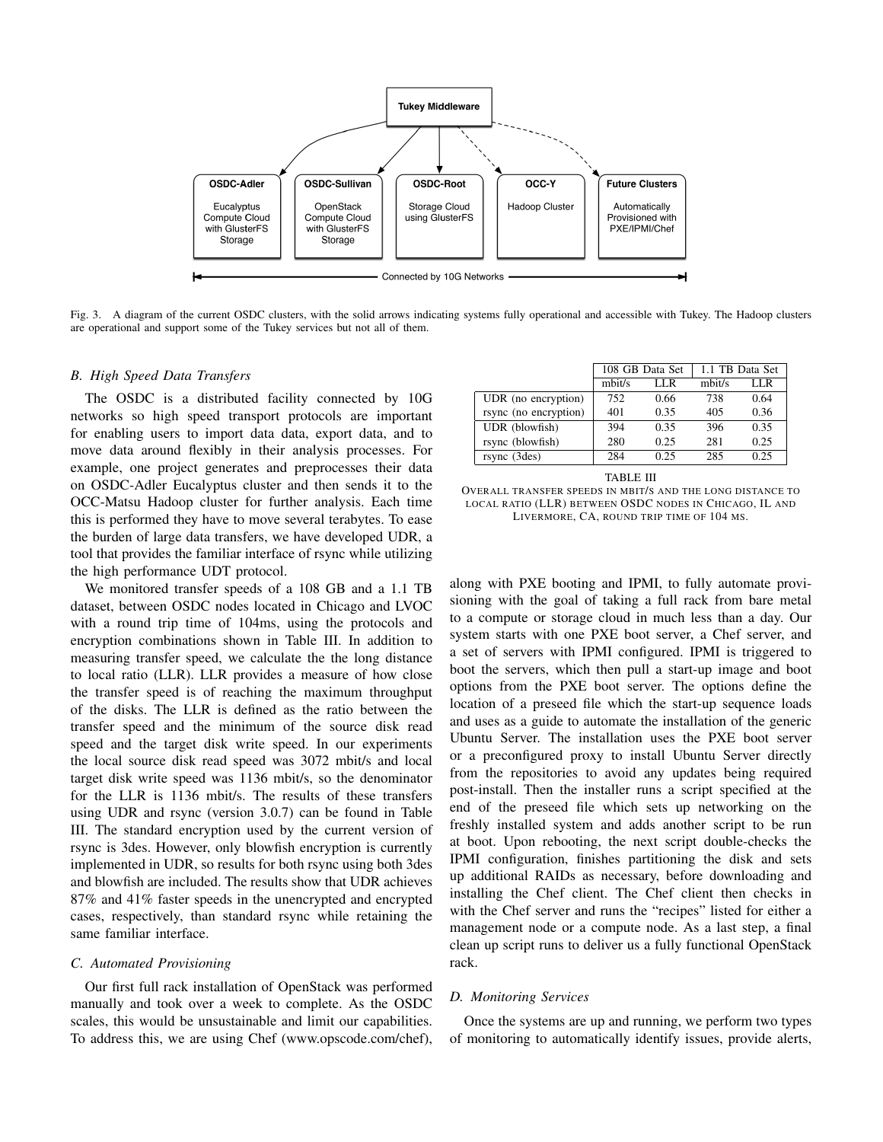

Fig. 3. A diagram of the current OSDC clusters, with the solid arrows indicating systems fully operational and accessible with Tukey. The Hadoop clusters are operational and support some of the Tukey services but not all of them.

#### *B. High Speed Data Transfers*

The OSDC is a distributed facility connected by 10G networks so high speed transport protocols are important for enabling users to import data data, export data, and to move data around flexibly in their analysis processes. For example, one project generates and preprocesses their data on OSDC-Adler Eucalyptus cluster and then sends it to the OCC-Matsu Hadoop cluster for further analysis. Each time this is performed they have to move several terabytes. To ease the burden of large data transfers, we have developed UDR, a tool that provides the familiar interface of rsync while utilizing the high performance UDT protocol.

We monitored transfer speeds of a 108 GB and a 1.1 TB dataset, between OSDC nodes located in Chicago and LVOC with a round trip time of 104ms, using the protocols and encryption combinations shown in Table III. In addition to measuring transfer speed, we calculate the the long distance to local ratio (LLR). LLR provides a measure of how close the transfer speed is of reaching the maximum throughput of the disks. The LLR is defined as the ratio between the transfer speed and the minimum of the source disk read speed and the target disk write speed. In our experiments the local source disk read speed was 3072 mbit/s and local target disk write speed was 1136 mbit/s, so the denominator for the LLR is 1136 mbit/s. The results of these transfers using UDR and rsync (version 3.0.7) can be found in Table III. The standard encryption used by the current version of rsync is 3des. However, only blowfish encryption is currently implemented in UDR, so results for both rsync using both 3des and blowfish are included. The results show that UDR achieves 87% and 41% faster speeds in the unencrypted and encrypted cases, respectively, than standard rsync while retaining the same familiar interface.

## *C. Automated Provisioning*

Our first full rack installation of OpenStack was performed manually and took over a week to complete. As the OSDC scales, this would be unsustainable and limit our capabilities. To address this, we are using Chef (www.opscode.com/chef),

|                       | 108 GB Data Set |      | 1.1 TB Data Set |      |  |  |
|-----------------------|-----------------|------|-----------------|------|--|--|
|                       | mbit/s          | LLR  | mbit/s          | LLR  |  |  |
| UDR (no encryption)   | 752             | 0.66 | 738             | 0.64 |  |  |
| rsync (no encryption) | 401             | 0.35 | 405             | 0.36 |  |  |
| UDR (blowfish)        | 394             | 0.35 | 396             | 0.35 |  |  |
| rsync (blowfish)      | 280             | 0.25 | 281             | 0.25 |  |  |
| $rsync$ (3 $des$ )    | 284             | 0.25 | 285             | 0.25 |  |  |
| TARI E III            |                 |      |                 |      |  |  |

OVERALL TRANSFER SPEEDS IN MBIT/S AND THE LONG DISTANCE TO LOCAL RATIO (LLR) BETWEEN OSDC NODES IN CHICAGO, IL AND LIVERMORE, CA, ROUND TRIP TIME OF 104 MS.

along with PXE booting and IPMI, to fully automate provisioning with the goal of taking a full rack from bare metal to a compute or storage cloud in much less than a day. Our system starts with one PXE boot server, a Chef server, and a set of servers with IPMI configured. IPMI is triggered to boot the servers, which then pull a start-up image and boot options from the PXE boot server. The options define the location of a preseed file which the start-up sequence loads and uses as a guide to automate the installation of the generic Ubuntu Server. The installation uses the PXE boot server or a preconfigured proxy to install Ubuntu Server directly from the repositories to avoid any updates being required post-install. Then the installer runs a script specified at the end of the preseed file which sets up networking on the freshly installed system and adds another script to be run at boot. Upon rebooting, the next script double-checks the IPMI configuration, finishes partitioning the disk and sets up additional RAIDs as necessary, before downloading and installing the Chef client. The Chef client then checks in with the Chef server and runs the "recipes" listed for either a management node or a compute node. As a last step, a final clean up script runs to deliver us a fully functional OpenStack rack.

## *D. Monitoring Services*

Once the systems are up and running, we perform two types of monitoring to automatically identify issues, provide alerts,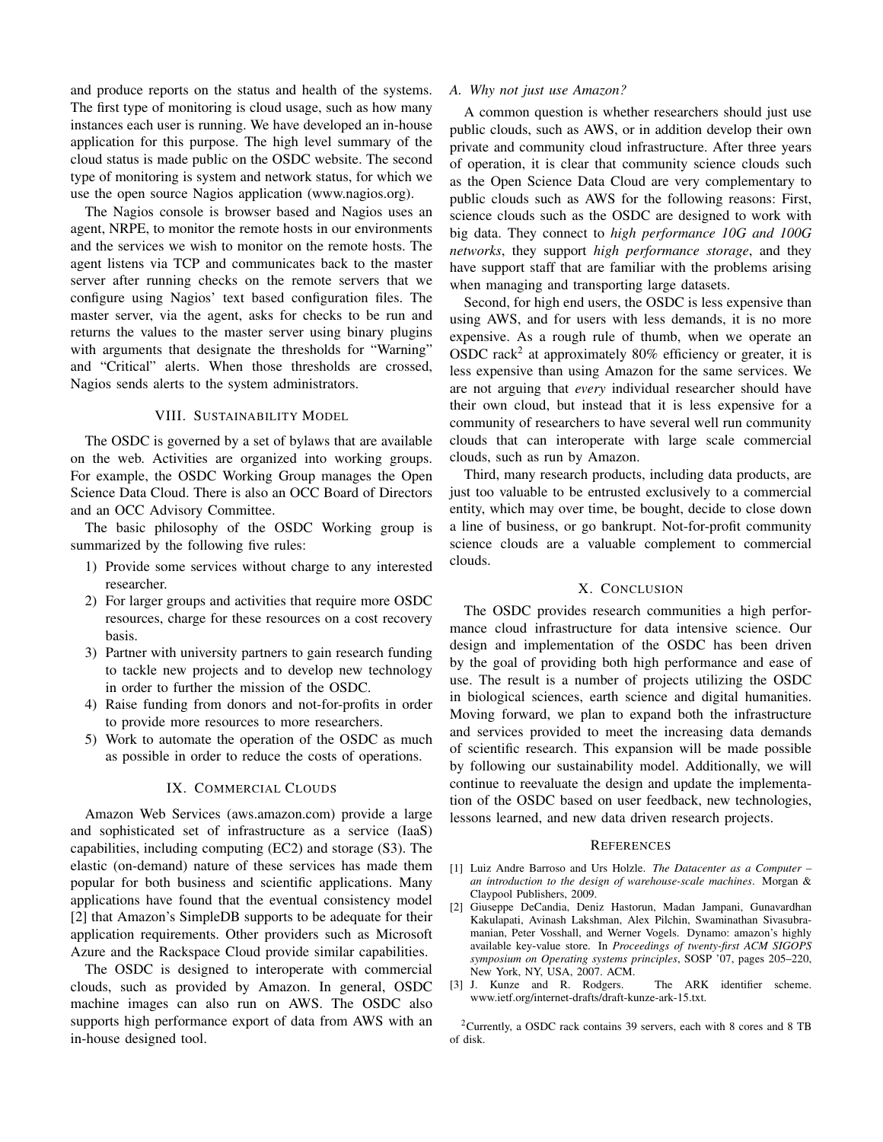and produce reports on the status and health of the systems. The first type of monitoring is cloud usage, such as how many instances each user is running. We have developed an in-house application for this purpose. The high level summary of the cloud status is made public on the OSDC website. The second type of monitoring is system and network status, for which we use the open source Nagios application (www.nagios.org).

The Nagios console is browser based and Nagios uses an agent, NRPE, to monitor the remote hosts in our environments and the services we wish to monitor on the remote hosts. The agent listens via TCP and communicates back to the master server after running checks on the remote servers that we configure using Nagios' text based configuration files. The master server, via the agent, asks for checks to be run and returns the values to the master server using binary plugins with arguments that designate the thresholds for "Warning" and "Critical" alerts. When those thresholds are crossed, Nagios sends alerts to the system administrators.

## VIII. SUSTAINABILITY MODEL

The OSDC is governed by a set of bylaws that are available on the web. Activities are organized into working groups. For example, the OSDC Working Group manages the Open Science Data Cloud. There is also an OCC Board of Directors and an OCC Advisory Committee.

The basic philosophy of the OSDC Working group is summarized by the following five rules:

- 1) Provide some services without charge to any interested researcher.
- 2) For larger groups and activities that require more OSDC resources, charge for these resources on a cost recovery basis.
- 3) Partner with university partners to gain research funding to tackle new projects and to develop new technology in order to further the mission of the OSDC.
- 4) Raise funding from donors and not-for-profits in order to provide more resources to more researchers.
- 5) Work to automate the operation of the OSDC as much as possible in order to reduce the costs of operations.

#### IX. COMMERCIAL CLOUDS

Amazon Web Services (aws.amazon.com) provide a large and sophisticated set of infrastructure as a service (IaaS) capabilities, including computing (EC2) and storage (S3). The elastic (on-demand) nature of these services has made them popular for both business and scientific applications. Many applications have found that the eventual consistency model [2] that Amazon's SimpleDB supports to be adequate for their application requirements. Other providers such as Microsoft Azure and the Rackspace Cloud provide similar capabilities.

The OSDC is designed to interoperate with commercial clouds, such as provided by Amazon. In general, OSDC machine images can also run on AWS. The OSDC also supports high performance export of data from AWS with an in-house designed tool.

#### *A. Why not just use Amazon?*

A common question is whether researchers should just use public clouds, such as AWS, or in addition develop their own private and community cloud infrastructure. After three years of operation, it is clear that community science clouds such as the Open Science Data Cloud are very complementary to public clouds such as AWS for the following reasons: First, science clouds such as the OSDC are designed to work with big data. They connect to *high performance 10G and 100G networks*, they support *high performance storage*, and they have support staff that are familiar with the problems arising when managing and transporting large datasets.

Second, for high end users, the OSDC is less expensive than using AWS, and for users with less demands, it is no more expensive. As a rough rule of thumb, when we operate an OSDC rack<sup>2</sup> at approximately 80% efficiency or greater, it is less expensive than using Amazon for the same services. We are not arguing that *every* individual researcher should have their own cloud, but instead that it is less expensive for a community of researchers to have several well run community clouds that can interoperate with large scale commercial clouds, such as run by Amazon.

Third, many research products, including data products, are just too valuable to be entrusted exclusively to a commercial entity, which may over time, be bought, decide to close down a line of business, or go bankrupt. Not-for-profit community science clouds are a valuable complement to commercial clouds.

#### X. CONCLUSION

The OSDC provides research communities a high performance cloud infrastructure for data intensive science. Our design and implementation of the OSDC has been driven by the goal of providing both high performance and ease of use. The result is a number of projects utilizing the OSDC in biological sciences, earth science and digital humanities. Moving forward, we plan to expand both the infrastructure and services provided to meet the increasing data demands of scientific research. This expansion will be made possible by following our sustainability model. Additionally, we will continue to reevaluate the design and update the implementation of the OSDC based on user feedback, new technologies, lessons learned, and new data driven research projects.

#### **REFERENCES**

- [1] Luiz Andre Barroso and Urs Holzle. *The Datacenter as a Computer – an introduction to the design of warehouse-scale machines*. Morgan & Claypool Publishers, 2009.
- [2] Giuseppe DeCandia, Deniz Hastorun, Madan Jampani, Gunavardhan Kakulapati, Avinash Lakshman, Alex Pilchin, Swaminathan Sivasubramanian, Peter Vosshall, and Werner Vogels. Dynamo: amazon's highly available key-value store. In *Proceedings of twenty-first ACM SIGOPS symposium on Operating systems principles*, SOSP '07, pages 205–220, New York, NY, USA, 2007. ACM.
- [3] J. Kunze and R. Rodgers. The ARK identifier scheme. www.ietf.org/internet-drafts/draft-kunze-ark-15.txt.

<sup>2</sup>Currently, a OSDC rack contains 39 servers, each with 8 cores and 8 TB of disk.